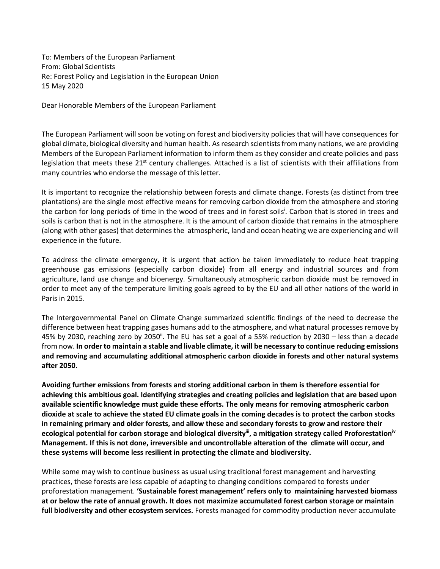To: Members of the European Parliament From: Global Scientists Re: Forest Policy and Legislation in the European Union 15 May 2020

Dear Honorable Members of the European Parliament

The European Parliament will soon be voting on forest and biodiversity policies that will have consequences for global climate, biological diversity and human health. As research scientistsfrom many nations, we are providing Members of the European Parliament information to inform them as they consider and create policies and pass legislation that meets these  $21<sup>st</sup>$  century challenges. Attached is a list of scientists with their affiliations from many countries who endorse the message of this letter.

It is important to recognize the relationship between forests and climate change. Forests (as distinct from tree plantations) are the single most effective means for removing carbon dioxide from the atmosphere and storing the carbon for long periods of time in the wood of trees and in forest soils<sup>i</sup>. Carbon that is stored in trees and soils is carbon that is not in the atmosphere. It is the amount of carbon dioxide that remains in the atmosphere (along with other gases) that determines the atmospheric, land and ocean heating we are experiencing and will experience in the future.

To address the climate emergency, it is urgent that action be taken immediately to reduce heat trapping greenhouse gas emissions (especially carbon dioxide) from all energy and industrial sources and from agriculture, land use change and bioenergy. Simultaneously atmospheric carbon dioxide must be removed in order to meet any of the temperature limiting goals agreed to by the EU and all other nations of the world in Paris in 2015.

The Intergovernmental Panel on Climate Change summarized scientific findings of the need to decrease the difference between heat trapping gases humans add to the atmosphere, and what natural processes remove by 45% by 2030, reaching zero by 2050<sup>ii</sup>. The EU has set a goal of a 55% reduction by 2030 – less than a decade from now. **In order to maintain a stable and livable climate, it will be necessary to continue reducing emissions and removing and accumulating additional atmospheric carbon dioxide in forests and other natural systems after 2050.** 

**Avoiding further emissions from forests and storing additional carbon in them is therefore essential for achieving this ambitious goal. Identifying strategies and creating policies and legislation that are based upon available scientific knowledge must guide these efforts. The only means for removing atmospheric carbon dioxide at scale to achieve the stated EU climate goals in the coming decades is to protect the carbon stocks in remaining primary and older forests, and allow these and secondary forests to grow and restore their ecological potential for carbon storage and biological diversityiii, a mitigation strategy called Proforestationiv Management. If this is not done, irreversible and uncontrollable alteration of the climate will occur, and these systems will become less resilient in protecting the climate and biodiversity.** 

While some may wish to continue business as usual using traditional forest management and harvesting practices, these forests are less capable of adapting to changing conditions compared to forests under proforestation management. **'Sustainable forest management' refers only to maintaining harvested biomass at or below the rate of annual growth. It does not maximize accumulated forest carbon storage or maintain full biodiversity and other ecosystem services.** Forests managed for commodity production never accumulate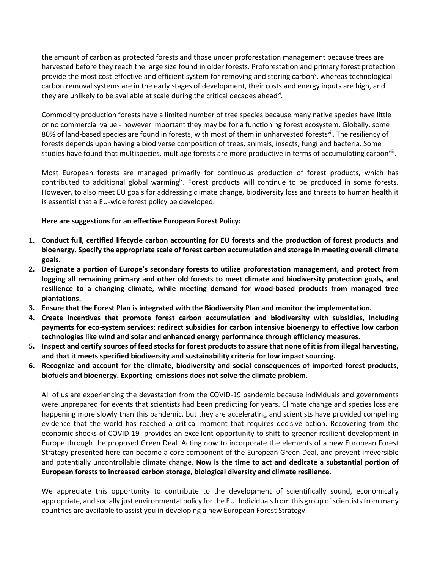the amount of carbon as protected forests and those under proforestation management because trees are harvested before they reach the large size found in older forests. Proforestation and primary forest protection provide the most cost-effective and efficient system for removing and storing carbon<sup>v</sup>, whereas technological carbon removal systems are in the early stages of development, their costs and energy inputs are high, and they are unlikely to be available at scale during the critical decades ahead<sup>vi</sup>.

Commodity production forests have a limited number of tree species because many native species have little or no commercial value - however important they may be for a functioning forest ecosystem. Globally, some 80% of land-based species are found in forests, with most of them in unharvested forests<sup>vii</sup>. The resiliency of forests depends upon having a biodiverse composition of trees, animals, insects, fungi and bacteria. Some studies have found that multispecies, multiage forests are more productive in terms of accumulating carbon<sup>viii</sup>.

Most European forests are managed primarily for continuous production of forest products, which has contributed to additional global warming<sup>ix</sup>. Forest products will continue to be produced in some forests. However, to also meet EU goals for addressing climate change, biodiversity loss and threats to human health it is essential that a EU-wide forest policy be developed.

## **Here are suggestions for an effective European Forest Policy:**

- **1. Conduct full, certified lifecycle carbon accounting for EU forests and the production of forest products and bioenergy. Specify the appropriate scale of forest carbon accumulation and storage in meeting overall climate goals.**
- **2. Designate a portion of Europe's secondary forests to utilize proforestation management, and protect from logging all remaining primary and other old forests to meet climate and biodiversity protection goals, and resilience to a changing climate, while meeting demand for wood-based products from managed tree plantations.**
- **3. Ensure that the Forest Plan is integrated with the Biodiversity Plan and monitor the implementation.**
- **4. Create incentives that promote forest carbon accumulation and biodiversity with subsidies, including payments for eco-system services; redirect subsidies for carbon intensive bioenergy to effective low carbon technologies like wind and solar and enhanced energy performance through efficiency measures.**
- **5. Inspect and certify sources of feed stocks for forest products to assure that none of it is from illegal harvesting, and that it meets specified biodiversity and sustainability criteria for low impact sourcing.**
- **6. Recognize and account for the climate, biodiversity and social consequences of imported forest products, biofuels and bioenergy. Exporting emissions does not solve the climate problem.**

All of us are experiencing the devastation from the COVID-19 pandemic because individuals and governments were unprepared for events that scientists had been predicting for years. Climate change and species loss are happening more slowly than this pandemic, but they are accelerating and scientists have provided compelling evidence that the world has reached a critical moment that requires decisive action. Recovering from the economic shocks of COVID-19 provides an excellent opportunity to shift to greener resilient development in Europe through the proposed Green Deal. Acting now to incorporate the elements of a new European Forest Strategy presented here can become a core component of the European Green Deal, and prevent irreversible and potentially uncontrollable climate change. **Now is the time to act and dedicate a substantial portion of European forests to increased carbon storage, biological diversity and climate resilience.**

We appreciate this opportunity to contribute to the development of scientifically sound, economically appropriate, and socially just environmental policy for the EU. Individuals from this group of scientists from many countries are available to assist you in developing a new European Forest Strategy.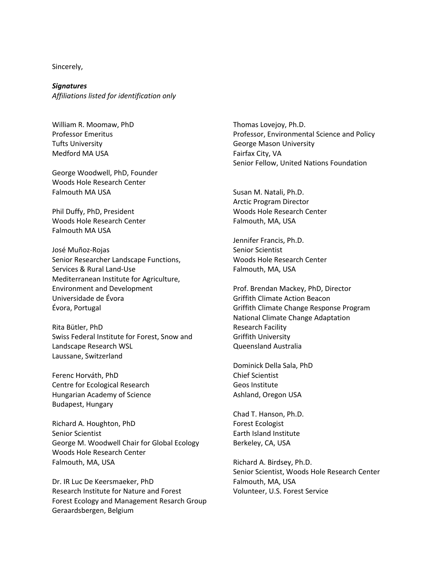Sincerely,

*Signatures Affiliations listed for identification only*

William R. Moomaw, PhD Professor Emeritus Tufts University Medford MA USA

George Woodwell, PhD, Founder Woods Hole Research Center Falmouth MA USA

Phil Duffy, PhD, President Woods Hole Research Center Falmouth MA USA

José Muñoz-Rojas Senior Researcher Landscape Functions, Services & Rural Land-Use Mediterranean Institute for Agriculture, Environment and Development Universidade de Évora Évora, Portugal

Rita Bütler, PhD Swiss Federal Institute for Forest, Snow and Landscape Research WSL Laussane, Switzerland

Ferenc Horváth, PhD Centre for Ecological Research Hungarian Academy of Science Budapest, Hungary

Richard A. Houghton, PhD Senior Scientist George M. Woodwell Chair for Global Ecology Woods Hole Research Center Falmouth, MA, USA

Dr. IR Luc De Keersmaeker, PhD Research Institute for Nature and Forest Forest Ecology and Management Resarch Group Geraardsbergen, Belgium

Thomas Lovejoy, Ph.D. Professor, Environmental Science and Policy George Mason University Fairfax City, VA Senior Fellow, United Nations Foundation

Susan M. Natali, Ph.D. Arctic Program Director Woods Hole Research Center Falmouth, MA, USA

Jennifer Francis, Ph.D. Senior Scientist Woods Hole Research Center Falmouth, MA, USA

Prof. Brendan Mackey, PhD, Director Griffith Climate Action Beacon Griffith Climate Change Response Program National Climate Change Adaptation Research Facility Griffith University Queensland Australia

Dominick Della Sala, PhD Chief Scientist Geos Institute Ashland, Oregon USA

Chad T. Hanson, Ph.D. Forest Ecologist Earth Island Institute Berkeley, CA, USA

Richard A. Birdsey, Ph.D. Senior Scientist, Woods Hole Research Center Falmouth, MA, USA Volunteer, U.S. Forest Service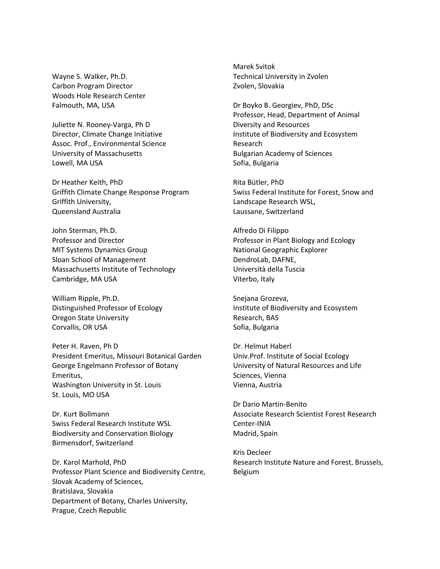Wayne S. Walker, Ph.D. Carbon Program Director Woods Hole Research Center Falmouth, MA, USA

Juliette N. Rooney-Varga, Ph D Director, Climate Change Initiative Assoc. Prof., Environmental Science University of Massachusetts Lowell, MA USA

Dr Heather Keith, PhD Griffith Climate Change Response Program Griffith University, Queensland Australia

John Sterman, Ph.D. Professor and Director MIT Systems Dynamics Group Sloan School of Management Massachusetts Institute of Technology Cambridge, MA USA

William Ripple, Ph.D. Distinguished Professor of Ecology Oregon State University Corvallis, OR USA

Peter H. Raven, Ph D President Emeritus, Missouri Botanical Garden George Engelmann Professor of Botany Emeritus, Washington University in St. Louis St. Louis, MO USA

Dr. Kurt Bollmann Swiss Federal Research Institute WSL Biodiversity and Conservation Biology Birmensdorf, Switzerland

Dr. Karol Marhold, PhD Professor Plant Science and Biodiversity Centre, Slovak Academy of Sciences, Bratislava, Slovakia Department of Botany, Charles University, Prague, Czech Republic

Marek Svitok Technical University in Zvolen Zvolen, Slovakia

Dr Boyko B. Georgiev, PhD, DSc Professor, Head, Department of Animal Diversity and Resources Institute of Biodiversity and Ecosystem Research Bulgarian Academy of Sciences Sofia, Bulgaria

Rita Bütler, PhD Swiss Federal Institute for Forest, Snow and Landscape Research WSL, Laussane, Switzerland

Alfredo Di Filippo Professor in Plant Biology and Ecology National Geographic Explorer DendroLab, DAFNE, Università della Tuscia Viterbo, Italy

Snejana Grozeva, Institute of Biodiversity and Ecosystem Research, BAS Sofia, Bulgaria

Dr. Helmut Haberl Univ.Prof. Institute of Social Ecology University of Natural Resources and Life Sciences, Vienna Vienna, Austria

Dr Dario Martin-Benito Associate Research Scientist Forest Research Center-INIA Madrid, Spain

Kris Decleer Research Institute Nature and Forest, Brussels, Belgium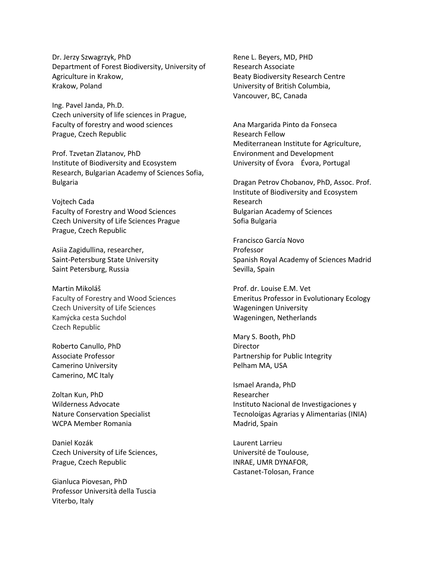Dr. Jerzy Szwagrzyk, PhD Department of Forest Biodiversity, University of Agriculture in Krakow, Krakow, Poland

Ing. Pavel Janda, Ph.D. Czech university of life sciences in Prague, Faculty of forestry and wood sciences Prague, Czech Republic

Prof. Tzvetan Zlatanov, PhD Institute of Biodiversity and Ecosystem Research, Bulgarian Academy of Sciences Sofia, Bulgaria

Vojtech Cada Faculty of Forestry and Wood Sciences Czech University of Life Sciences Prague Prague, Czech Republic

Asiia Zagidullina, researcher, Saint-Petersburg State University Saint Petersburg, Russia

Martin Mikoláš Faculty of Forestry and Wood Sciences Czech University of Life Sciences Kamýcka cesta Suchdol Czech Republic

Roberto Canullo, PhD Associate Professor Camerino University Camerino, MC Italy

Zoltan Kun, PhD Wilderness Advocate Nature Conservation Specialist WCPA Member Romania

Daniel Kozák Czech University of Life Sciences, Prague, Czech Republic

Gianluca Piovesan, PhD Professor Università della Tuscia Viterbo, Italy

Rene L. Beyers, MD, PHD Research Associate Beaty Biodiversity Research Centre University of British Columbia, Vancouver, BC, Canada

Ana Margarida Pinto da Fonseca Research Fellow Mediterranean Institute for Agriculture, Environment and Development University of Évora Évora, Portugal

Dragan Petrov Chobanov, PhD, Assoc. Prof. Institute of Biodiversity and Ecosystem Research Bulgarian Academy of Sciences Sofia Bulgaria

Francisco García Novo Professor Spanish Royal Academy of Sciences Madrid Sevilla, Spain

Prof. dr. Louise E.M. Vet Emeritus Professor in Evolutionary Ecology Wageningen University Wageningen, Netherlands

Mary S. Booth, PhD Director Partnership for Public Integrity Pelham MA, USA

Ismael Aranda, PhD Researcher Instituto Nacional de Investigaciones y Tecnoloígas Agrarias y Alimentarias (INIA) Madrid, Spain

Laurent Larrieu Université de Toulouse, INRAE, UMR DYNAFOR, Castanet-Tolosan, France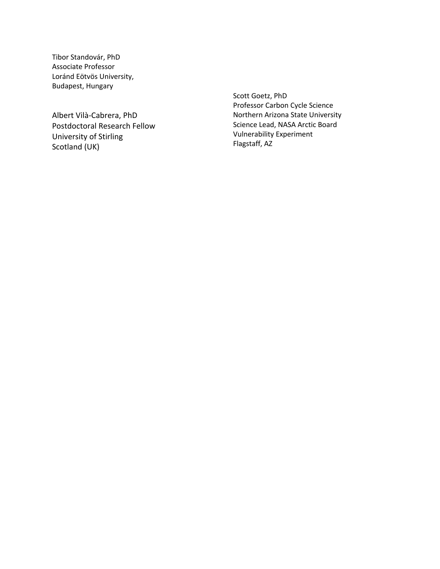Tibor Standovár, PhD Associate Professor Loránd Eötvös University, Budapest, Hungary

Albert Vilà -Cabrera, PhD Postdoctoral Research Fellow University of Stirling Scotland (UK)

Scott Goetz, PhD Professor Carbon Cycle Science Northern Arizona State University Science Lead, NASA Arctic Board Vulnerability Experi ment Flagstaff, AZ